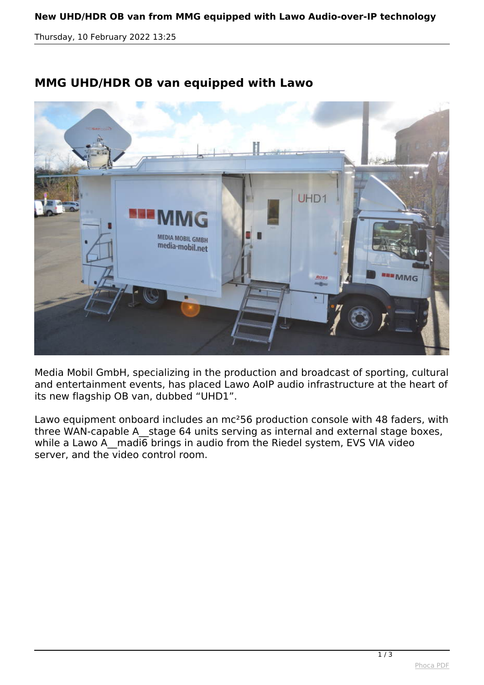*Thursday, 10 February 2022 13:25*



## **MMG UHD/HDR OB van equipped with Lawo**

*Media Mobil GmbH, specializing in the production and broadcast of sporting, cultural and entertainment events, has placed Lawo AoIP audio infrastructure at the heart of its new flagship OB van, dubbed "UHD1".*

*Lawo equipment onboard includes an mc²56 production console with 48 faders, with three WAN-capable A\_\_stage 64 units serving as internal and external stage boxes,* while a Lawo A madi6 brings in audio from the Riedel system, EVS VIA video *server, and the video control room.*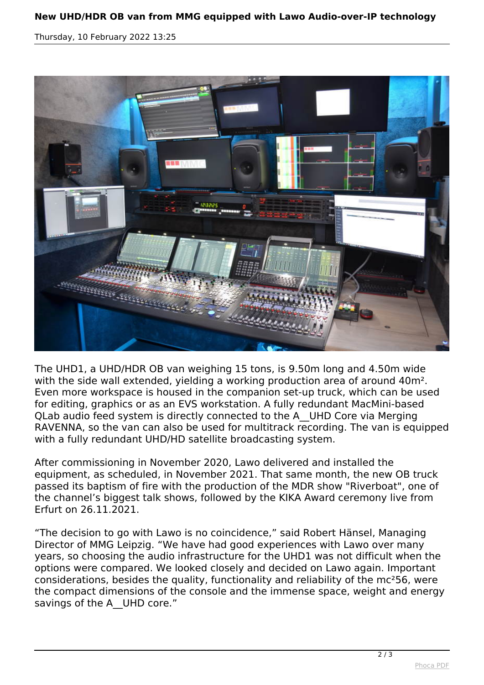## **New UHD/HDR OB van from MMG equipped with Lawo Audio-over-IP technology**

*Thursday, 10 February 2022 13:25*



*The UHD1, a UHD/HDR OB van weighing 15 tons, is 9.50m long and 4.50m wide with the side wall extended, yielding a working production area of around 40m². Even more workspace is housed in the companion set-up truck, which can be used for editing, graphics or as an EVS workstation. A fully redundant MacMini-based QLab audio feed system is directly connected to the A\_\_UHD Core via Merging RAVENNA, so the van can also be used for multitrack recording. The van is equipped with a fully redundant UHD/HD satellite broadcasting system.*

*After commissioning in November 2020, Lawo delivered and installed the equipment, as scheduled, in November 2021. That same month, the new OB truck passed its baptism of fire with the production of the MDR show "Riverboat", one of the channel's biggest talk shows, followed by the KIKA Award ceremony live from Erfurt on 26.11.2021.*

*"The decision to go with Lawo is no coincidence," said Robert Hänsel, Managing Director of MMG Leipzig. "We have had good experiences with Lawo over many years, so choosing the audio infrastructure for the UHD1 was not difficult when the options were compared. We looked closely and decided on Lawo again. Important considerations, besides the quality, functionality and reliability of the mc²56, were the compact dimensions of the console and the immense space, weight and energy savings of the A\_\_UHD core."*